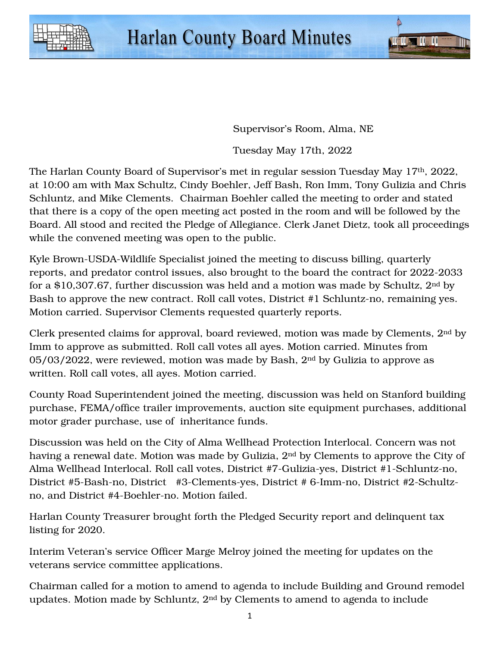



Supervisor's Room, Alma, NE

Tuesday May 17th, 2022

The Harlan County Board of Supervisor's met in regular session Tuesday May 17th, 2022, at 10:00 am with Max Schultz, Cindy Boehler, Jeff Bash, Ron Imm, Tony Gulizia and Chris Schluntz, and Mike Clements. Chairman Boehler called the meeting to order and stated that there is a copy of the open meeting act posted in the room and will be followed by the Board. All stood and recited the Pledge of Allegiance. Clerk Janet Dietz, took all proceedings while the convened meeting was open to the public.

Kyle Brown-USDA-Wildlife Specialist joined the meeting to discuss billing, quarterly reports, and predator control issues, also brought to the board the contract for 2022-2033 for a \$10,307.67, further discussion was held and a motion was made by Schultz, 2nd by Bash to approve the new contract. Roll call votes, District #1 Schluntz-no, remaining yes. Motion carried. Supervisor Clements requested quarterly reports.

Clerk presented claims for approval, board reviewed, motion was made by Clements, 2nd by Imm to approve as submitted. Roll call votes all ayes. Motion carried. Minutes from  $05/03/2022$ , were reviewed, motion was made by Bash,  $2<sup>nd</sup>$  by Gulizia to approve as written. Roll call votes, all ayes. Motion carried.

County Road Superintendent joined the meeting, discussion was held on Stanford building purchase, FEMA/office trailer improvements, auction site equipment purchases, additional motor grader purchase, use of inheritance funds.

Discussion was held on the City of Alma Wellhead Protection Interlocal. Concern was not having a renewal date. Motion was made by Gulizia, 2nd by Clements to approve the City of Alma Wellhead Interlocal. Roll call votes, District #7-Gulizia-yes, District #1-Schluntz-no, District #5-Bash-no, District #3-Clements-yes, District # 6-Imm-no, District #2-Schultzno, and District #4-Boehler-no. Motion failed.

Harlan County Treasurer brought forth the Pledged Security report and delinquent tax listing for 2020.

Interim Veteran's service Officer Marge Melroy joined the meeting for updates on the veterans service committee applications.

Chairman called for a motion to amend to agenda to include Building and Ground remodel updates. Motion made by Schluntz, 2nd by Clements to amend to agenda to include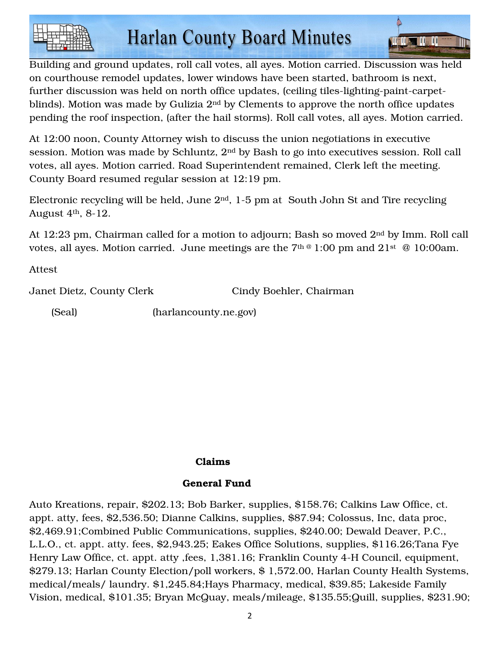

Building and ground updates, roll call votes, all ayes. Motion carried. Discussion was held on courthouse remodel updates, lower windows have been started, bathroom is next, further discussion was held on north office updates, (ceiling tiles-lighting-paint-carpetblinds). Motion was made by Gulizia 2<sup>nd</sup> by Clements to approve the north office updates pending the roof inspection, (after the hail storms). Roll call votes, all ayes. Motion carried.

At 12:00 noon, County Attorney wish to discuss the union negotiations in executive session. Motion was made by Schluntz, 2nd by Bash to go into executives session. Roll call votes, all ayes. Motion carried. Road Superintendent remained, Clerk left the meeting. County Board resumed regular session at 12:19 pm.

Electronic recycling will be held, June  $2<sup>nd</sup>$ , 1-5 pm at South John St and Tire recycling August  $4<sup>th</sup>$ , 8-12.

At 12:23 pm, Chairman called for a motion to adjourn; Bash so moved 2nd by Imm. Roll call votes, all ayes. Motion carried. June meetings are the  $7<sup>th @ 1:00</sup>$  pm and  $21<sup>st @ 10:00</sup>$ am.

Attest

Janet Dietz, County Clerk Cindy Boehler, Chairman

**All II Al II** II

(Seal) (harlancounty.ne.gov)

# Claims

# General Fund

Auto Kreations, repair, \$202.13; Bob Barker, supplies, \$158.76; Calkins Law Office, ct. appt. atty, fees, \$2,536.50; Dianne Calkins, supplies, \$87.94; Colossus, Inc, data proc, \$2,469.91;Combined Public Communications, supplies, \$240.00; Dewald Deaver, P.C., L.L.O., ct. appt. atty. fees, \$2,943.25; Eakes Office Solutions, supplies, \$116.26;Tana Fye Henry Law Office, ct. appt. atty ,fees, 1,381.16; Franklin County 4-H Council, equipment, \$279.13; Harlan County Election/poll workers, \$ 1,572.00, Harlan County Health Systems, medical/meals/ laundry. \$1,245.84;Hays Pharmacy, medical, \$39.85; Lakeside Family Vision, medical, \$101.35; Bryan McQuay, meals/mileage, \$135.55;Quill, supplies, \$231.90;